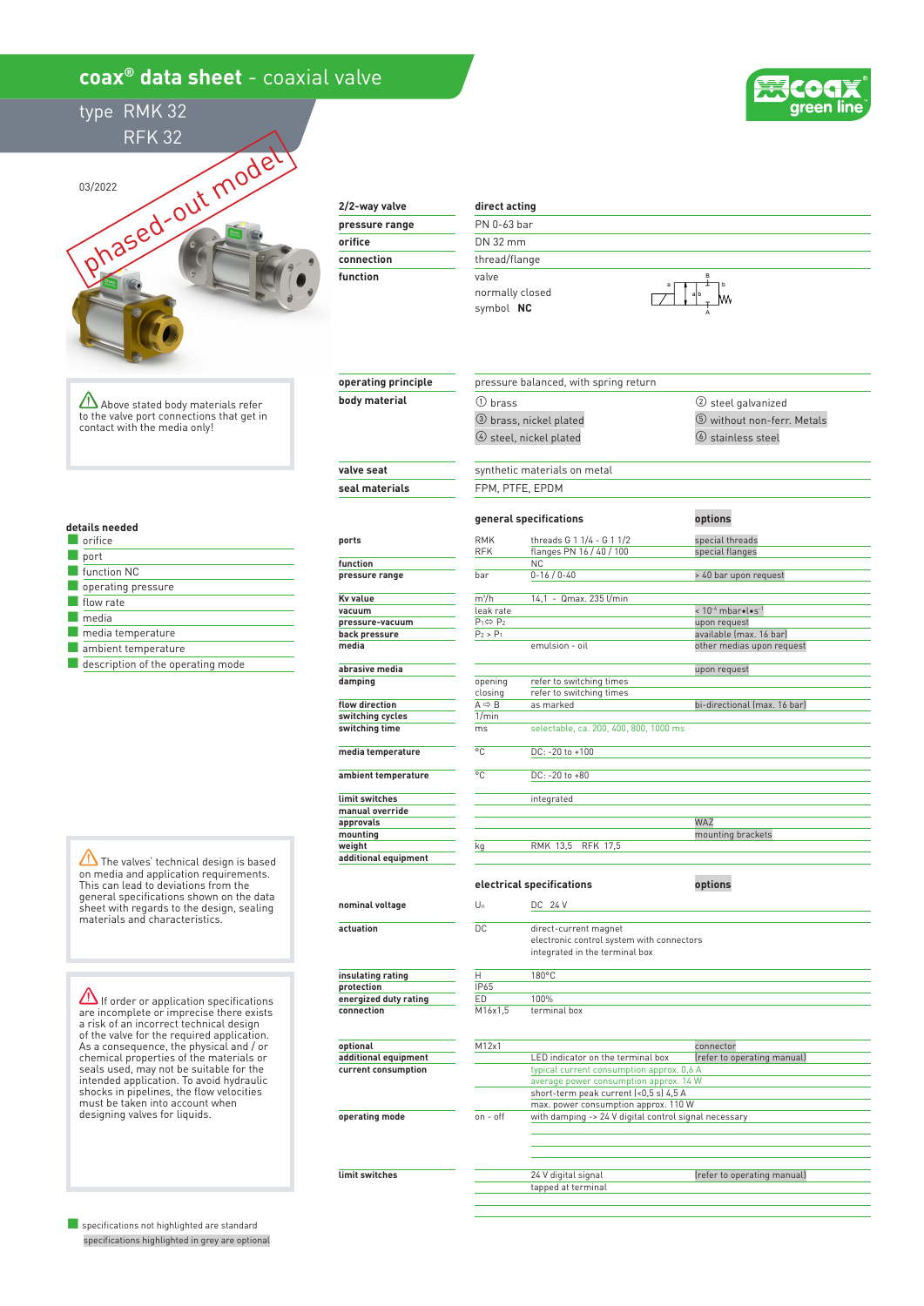## **coax® data sheet** - coaxial valve



type RMK 32 RFK 32



**2/2-way valve pressure range**

| orifice    |  |
|------------|--|
| connection |  |
| function   |  |
|            |  |

**operating principle body material**

## **direct acting** PN 0-63 bar DN 32 mm thread/flange

valve normally closed symbol  **NC**

③ brass, nickel plated

① brass

pressure balanced, with spring return



② steel galvanized ⑤ without non-ferr. Metals

Above stated body materials refer to the valve port connections that get in contact with the media only!

**details needed**

| orifice                           |
|-----------------------------------|
| port                              |
| function NC                       |
| operating pressure                |
| flow rate                         |
| media                             |
| media temperature                 |
| ambient temperature               |
| description of the operating mode |

The valves' technical design is based on media and application requirements. This can lead to deviations from the general specifications shown on the data sheet with regards to the design, sealing materials and characteristics.

 $\Delta$  If order or application specifications are incomplete or imprecise there exists a risk of an incorrect technical design of the valve for the required application. As a consequence, the physical and / or chemical properties of the materials or seals used, may not be suitable for the intended application. To avoid hydraulic shocks in pipelines, the flow velocities must be taken into account when designing valves for liquids.

■ specifications not highlighted are standard specifications highlighted in grey are optional

|                                | 4 steel, nickel plated                    |                                                                                                      | 6 stainless steel                  |  |  |  |
|--------------------------------|-------------------------------------------|------------------------------------------------------------------------------------------------------|------------------------------------|--|--|--|
| valve seat                     |                                           | synthetic materials on metal                                                                         |                                    |  |  |  |
| seal materials                 | FPM, PTFE, EPDM                           |                                                                                                      |                                    |  |  |  |
|                                |                                           | general specifications                                                                               | options                            |  |  |  |
| ports                          | <b>RMK</b><br><b>RFK</b>                  | threads G 1 1/4 - G 1 1/2<br>flanges PN 16 / 40 / 100                                                | special threads<br>special flanges |  |  |  |
| function                       |                                           | <b>NC</b>                                                                                            |                                    |  |  |  |
| pressure range                 | bar                                       | $0 - 16 / 0 - 40$                                                                                    | > 40 bar upon request              |  |  |  |
|                                |                                           |                                                                                                      |                                    |  |  |  |
| <b>Kv</b> value                | $m^3/h$                                   | 14,1 - Qmax. 235 l/min                                                                               |                                    |  |  |  |
| vacuum                         | leak rate                                 |                                                                                                      | $< 10^{-6}$ mbarolos-1             |  |  |  |
| pressure-vacuum                | $P_1 \Leftrightarrow P_2$                 |                                                                                                      | upon request                       |  |  |  |
| back pressure                  | $P_2 > P_1$                               |                                                                                                      | available (max. 16 bar)            |  |  |  |
| media                          |                                           | emulsion - oil                                                                                       | other medias upon request          |  |  |  |
| abrasive media                 |                                           |                                                                                                      | upon request                       |  |  |  |
| damping                        | opening                                   | refer to switching times                                                                             |                                    |  |  |  |
|                                | closing                                   | refer to switching times                                                                             |                                    |  |  |  |
| flow direction                 | $A \Rightarrow B$                         | as marked                                                                                            | bi-directional (max. 16 bar)       |  |  |  |
| switching cycles               | 1/min                                     |                                                                                                      |                                    |  |  |  |
| switching time                 | ms                                        | selectable, ca. 200, 400, 800, 1000 ms                                                               |                                    |  |  |  |
| media temperature              | $^{\circ}$ C                              | DC: -20 to +100                                                                                      |                                    |  |  |  |
| ambient temperature            | °C                                        | DC: -20 to +80                                                                                       |                                    |  |  |  |
| limit switches                 |                                           | integrated                                                                                           |                                    |  |  |  |
| manual override                |                                           |                                                                                                      |                                    |  |  |  |
| approvals                      |                                           |                                                                                                      | WAZ                                |  |  |  |
| mounting                       |                                           |                                                                                                      | mounting brackets                  |  |  |  |
|                                |                                           |                                                                                                      |                                    |  |  |  |
| weight<br>additional equipment | kg                                        | RMK 13,5 RFK 17,5                                                                                    |                                    |  |  |  |
|                                |                                           | electrical specifications                                                                            | options                            |  |  |  |
| nominal voltage                | $U_n$                                     | DC 24 V                                                                                              |                                    |  |  |  |
| actuation                      | DC                                        | direct-current magnet<br>electronic control system with connectors<br>integrated in the terminal box |                                    |  |  |  |
| insulating rating              | н                                         | 180°C                                                                                                |                                    |  |  |  |
| protection                     | IP65                                      |                                                                                                      |                                    |  |  |  |
| energized duty rating          | ED                                        | 100%                                                                                                 |                                    |  |  |  |
| connection                     | M16x1,5                                   | terminal box                                                                                         |                                    |  |  |  |
| optional                       | M12x1                                     |                                                                                                      | connector                          |  |  |  |
| additional equipment           |                                           | LED indicator on the terminal box                                                                    | (refer to operating manual)        |  |  |  |
|                                |                                           |                                                                                                      |                                    |  |  |  |
| current consumption            | typical current consumption approx. 0,6 A |                                                                                                      |                                    |  |  |  |
|                                |                                           | average power consumption approx. 14 W                                                               |                                    |  |  |  |
|                                |                                           | short-term peak current (<0,5 s) 4,5 A                                                               |                                    |  |  |  |
|                                |                                           | max. power consumption approx. 110 W                                                                 |                                    |  |  |  |
| operating mode                 | on - off                                  | with damping -> 24 V digital control signal necessary                                                |                                    |  |  |  |

24 V digital signal and the feature of the feature of the operating manual)

tapped at terminal

**limit switches**